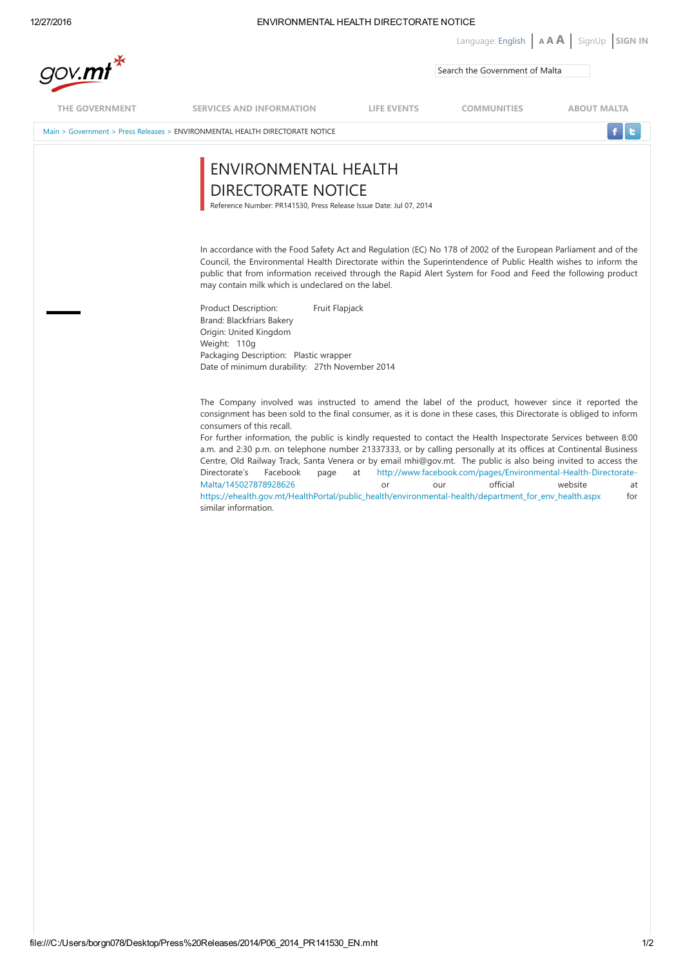# 12/27/2016 ENVIRONMENTAL HEALTH DIRECTORATE NOTICE

Language: English  $\begin{bmatrix} A & A & A \end{bmatrix}$  [SignUp](https://mygov.mt/PORTAL/webforms/howdoigetaccesstomygov.aspx) SIGN IN

|                |                                                                                                                                                                                                                                                                                                                                                                                                                                                                                                                                                                                                                                                                                                                                                                                                                                                                                                                                              |             | Search the Government of Malta |                    |
|----------------|----------------------------------------------------------------------------------------------------------------------------------------------------------------------------------------------------------------------------------------------------------------------------------------------------------------------------------------------------------------------------------------------------------------------------------------------------------------------------------------------------------------------------------------------------------------------------------------------------------------------------------------------------------------------------------------------------------------------------------------------------------------------------------------------------------------------------------------------------------------------------------------------------------------------------------------------|-------------|--------------------------------|--------------------|
| THE GOVERNMENT | <b>SERVICES AND INFORMATION</b>                                                                                                                                                                                                                                                                                                                                                                                                                                                                                                                                                                                                                                                                                                                                                                                                                                                                                                              | LIFE EVENTS | <b>COMMUNITIES</b>             | <b>ABOUT MALTA</b> |
|                | Main > Government > Press Releases > ENVIRONMENTAL HEALTH DIRECTORATE NOTICE                                                                                                                                                                                                                                                                                                                                                                                                                                                                                                                                                                                                                                                                                                                                                                                                                                                                 |             |                                |                    |
|                | ENVIRONMENTAL HEALTH<br>DIRECTORATE NOTICE<br>Reference Number: PR141530, Press Release Issue Date: Jul 07, 2014                                                                                                                                                                                                                                                                                                                                                                                                                                                                                                                                                                                                                                                                                                                                                                                                                             |             |                                |                    |
|                | In accordance with the Food Safety Act and Regulation (EC) No 178 of 2002 of the European Parliament and of the<br>Council, the Environmental Health Directorate within the Superintendence of Public Health wishes to inform the<br>public that from information received through the Rapid Alert System for Food and Feed the following product<br>may contain milk which is undeclared on the label.                                                                                                                                                                                                                                                                                                                                                                                                                                                                                                                                      |             |                                |                    |
|                | Product Description:<br>Fruit Flapjack<br>Brand: Blackfriars Bakery<br>Origin: United Kingdom<br>Weight: 110g<br>Packaging Description: Plastic wrapper<br>Date of minimum durability: 27th November 2014                                                                                                                                                                                                                                                                                                                                                                                                                                                                                                                                                                                                                                                                                                                                    |             |                                |                    |
|                | The Company involved was instructed to amend the label of the product, however since it reported the<br>consignment has been sold to the final consumer, as it is done in these cases, this Directorate is obliged to inform<br>consumers of this recall.<br>For further information, the public is kindly requested to contact the Health Inspectorate Services between 8:00<br>a.m. and 2:30 p.m. on telephone number 21337333, or by calling personally at its offices at Continental Business<br>Centre, Old Railway Track, Santa Venera or by email mhi@gov.mt. The public is also being invited to access the<br>http://www.facebook.com/pages/Environmental-Health-Directorate-<br>Directorate's<br>Facebook<br>page<br>at<br>official<br>Malta/145027878928626<br>website<br>or<br>our<br>at<br>https://ehealth.gov.mt/HealthPortal/public_health/environmental-health/department_for_env_health.aspx<br>for<br>similar information. |             |                                |                    |
|                |                                                                                                                                                                                                                                                                                                                                                                                                                                                                                                                                                                                                                                                                                                                                                                                                                                                                                                                                              |             |                                |                    |
|                |                                                                                                                                                                                                                                                                                                                                                                                                                                                                                                                                                                                                                                                                                                                                                                                                                                                                                                                                              |             |                                |                    |
|                |                                                                                                                                                                                                                                                                                                                                                                                                                                                                                                                                                                                                                                                                                                                                                                                                                                                                                                                                              |             |                                |                    |